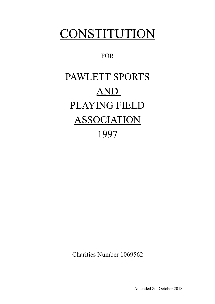# **CONSTITUTION**

# FOR

# PAWLETT SPORTS AND PLAYING FIELD **ASSOCIATION** 1997

Charities Number 1069562

Amended 8th October 2018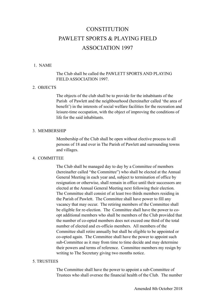# **CONSTITUTION** PAWLETT SPORTS & PLAYING FIELD ASSOCIATION 1997

### 1. NAME

The Club shall be called the PAWLETT SPORTS AND PLAYING FIELD ASSOCIATION 1997.

# 2. OBJECTS

The objects of the club shall be to provide for the inhabitants of the Parish of Pawlett and the neighbourhood (hereinafter called 'the area of benefit') in the interests of social welfare facilities for the recreation and leisure-time occupation, with the object of improving the conditions of life for the said inhabitants.

# 3. MEMBERSHIP

Membership of the Club shall be open without elective process to all persons of 18 and over in The Parish of Pawlett and surrounding towns and villages.

### 4. COMMITTEE

The Club shall be managed day to day by a Committee of members (hereinafter called "the Committee") who shall be elected at the Annual General Meeting in each year and, subject to termination of office by resignation or otherwise, shall remain in office until their successors are elected at the Annual General Meeting next following their election. The Committee shall consist of at least two thirds members residing in the Parish of Pawlett. The Committee shall have power to fill any vacancy that may occur. The retiring members of the Committee shall be eligible for re-election. The Committee shall have the power to coopt additional members who shall be members of the Club provided that the number of co-opted members does not exceed one third of the total number of elected and ex-officio members. All members of the Committee shall retire annually but shall be eligible to be appointed or co-opted again. The Committee shall have the power to appoint such sub-Committee as it may from time to time decide and may determine their powers and terms of reference. Committee members my resign by writing to The Secretary giving two months notice.

### 5. TRUSTEES

The Committee shall have the power to appoint a sub-Committee of Trustees who shall oversee the financial health of the Club. The number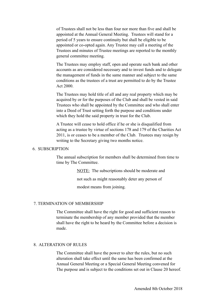of Trustees shall not be less than four nor more than five and shall be appointed at the Annual General Meeting. Trustees will stand for a period of 5 years to ensure continuity but shall be eligible to be appointed or co-opted again. Any Trustee may call a meeting of the Trustees and minutes of Trustee meetings are reported to the monthly general committee meeting.

The Trustees may employ staff, open and operate such bank and other accounts as are considered necessary and to invest funds and to delegate the management of funds in the same manner and subject to the same conditions as the trustees of a trust are permitted to do by the Trustee Act 2000.

The Trustees may hold title of all and any real property which may be acquired by or for the purposes of the Club and shall be vested in said Trustees who shall be appointed by the Committee and who shall enter into a Deed of Trust setting forth the purpose and conditions under which they hold the said property in trust for the Club.

A Trustee will cease to hold office if he or she is disqualified from acting as a trustee by virtue of sections 178 and 179 of the Charities Act 2011, is or ceases to be a member of the Club. Trustees may resign by writing to the Secretary giving two months notice.

### 6. SUBSCRIPTION

The annual subscription for members shall be determined from time to time by The Committee.

NOTE: The subscriptions should be moderate and

not such as might reasonably deter any person of

modest means from joining.

### 7. TERMINATION OF MEMBERSHIP

The Committee shall have the right for good and sufficient reason to terminate the membership of any member provided that the member shall have the right to be heard by the Committee before a decision is made.

### 8. ALTERATION OF RULES

The Committee shall have the power to alter the rules, but no such alteration shall take effect until the same has been confirmed at the Annual General Meeting or a Special General Meeting convened for The purpose and is subject to the conditions set out in Clause 20 hereof.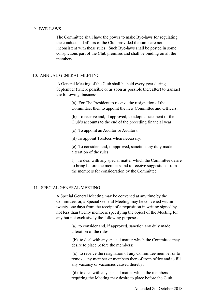#### 9. BYE-LAWS

The Committee shall have the power to make Bye-laws for regulating the conduct and affairs of the Club provided the same are not inconsistent with these rules. Such Bye-laws shall be posted in some conspicuous part of the Club premises and shall be binding on all the members.

## 10. ANNUAL GENERAL MEETING

 A General Meeting of the Club shall be held every year during September (where possible or as soon as possible thereafter) to transact the following business:

> (a) For The President to receive the resignation of the Committee, then to appoint the new Committee and Officers.

(b) To receive and, if approved, to adopt a statement of the Club's accounts to the end of the preceding financial year:

(c) To appoint an Auditor or Auditors:

(d) To appoint Trustees when necessary:

(e) To consider, and, if approved, sanction any duly made alteration of the rules:

f) To deal with any special matter which the Committee desire to bring before the members and to receive suggestions from the members for consideration by the Committee.

### 11. SPECIAL GENERAL MEETING

A Special General Meeting may be convened at any time by the Committee, or, a Special General Meeting may be convened within twenty-one days from the receipt of a requisition in writing signed by not less than twenty members specifying the object of the Meeting for any but not exclusively the following purposes:

> (a) to consider and, if approved, sanction any duly made alteration of the rules;

 (b) to deal with any special matter which the Committee may desire to place before the members:

 (c) to receive the resignation of any Committee member or to remove any member or members thereof from office and to fill any vacancy or vacancies caused thereby:

 (d) to deal with any special matter which the members requiring the Meeting may desire to place before the Club.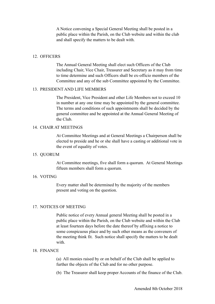A Notice convening a Special General Meeting shall be posted in a public place within the Parish, on the Club website and within the club and shall specify the matters to be dealt with.

## 12. OFFICERS

The Annual General Meeting shall elect such Officers of the Club including Chair, Vice Chair, Treasurer and Secretary as it may from time to time determine and such Officers shall be ex-officio members of the Committee and any of the sub Committee appointed by the Committee.

#### 13. PRESIDENT AND LIFE MEMBERS

The President, Vice President and other Life Members not to exceed 10 in number at any one time may be appointed by the general committee. The terms and conditions of such appointments shall be decided by the general committee and be appointed at the Annual General Meeting of the Club.

### 14. CHAIR AT MEETINGS

At Committee Meetings and at General Meetings a Chairperson shall be elected to preside and he or she shall have a casting or additional vote in the event of equality of votes.

#### 15. QUORUM

At Committee meetings, five shall form a quorum. At General Meetings fifteen members shall form a quorum.

#### 16. VOTING

Every matter shall be determined by the majority of the members present and voting on the question.

#### 17. NOTICES OF MEETING

Public notice of every Annual general Meeting shall be posted in a public place within the Parish, on the Club website and within the Club at least fourteen days before the date thereof by affixing a notice to some conspicuous place and by such other means as the conveners of the meeting think fit. Such notice shall specify the matters to be dealt with.

# 18. FINANCE

(a) All monies raised by or on behalf of the Club shall be applied to further the objects of the Club and for no other purpose.

(b) The Treasurer shall keep proper Accounts of the finance of the Club.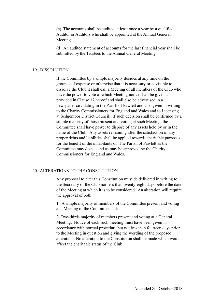(c) The accounts shall be audited at least once a year by a qualified Auditor or Auditors who shall be appointed at the Annual General Meeting.

(d) An audited statement of accounts for the last financial year shall be submitted by the Trustees to the Annual General Meeting.

#### 19. DISSOLUTION

If the Committee by a simple majority decides at any time on the grounds of expense or otherwise that it is necessary or advisable to dissolve the Club it shall call a Meeting of all members of the Club who have the power to vote of which Meeting notice shall be given as provided in Clause 17 hereof and shall also be advertised in a newspaper circulating in the Parish of Pawlett and also given in writing to the Charity Commissioners for England and Wales and to Licensing at Sedgemoor District Council. If such decision shall be confirmed by a simple majority of those present and voting at such Meeting, the Committee shall have power to dispose of any assets held by or in the name of the Club. Any assets remaining after the satisfaction of any proper debts and liabilities shall be applied towards charitable purposes for the benefit of the inhabitants of The Parish of Pawlett as the Committee may decide and as may be approved by the Charity Commissioners for England and Wales.

#### 20. ALTERATIONS TO THE CONSTITUTION

Any proposal to alter this Constitution must de delivered in writing to the Secretary of the Club not less than twenty-eight days before the date of the Meeting at which it is to be considered. An alteration will require the approval of both:

1. A simple majority of members of the Committee present and voting at a Meeting of the Committee and:

2. Two-thirds majority of members present and voting at a General Meeting. Notice of each such meeting must have been given in accordance with normal procedure but not less than fourteen days prior to the Meeting in question and giving the wording of the proposed alteration. No alteration to the Constitution shall be made which would affect the charitable status of the Club.